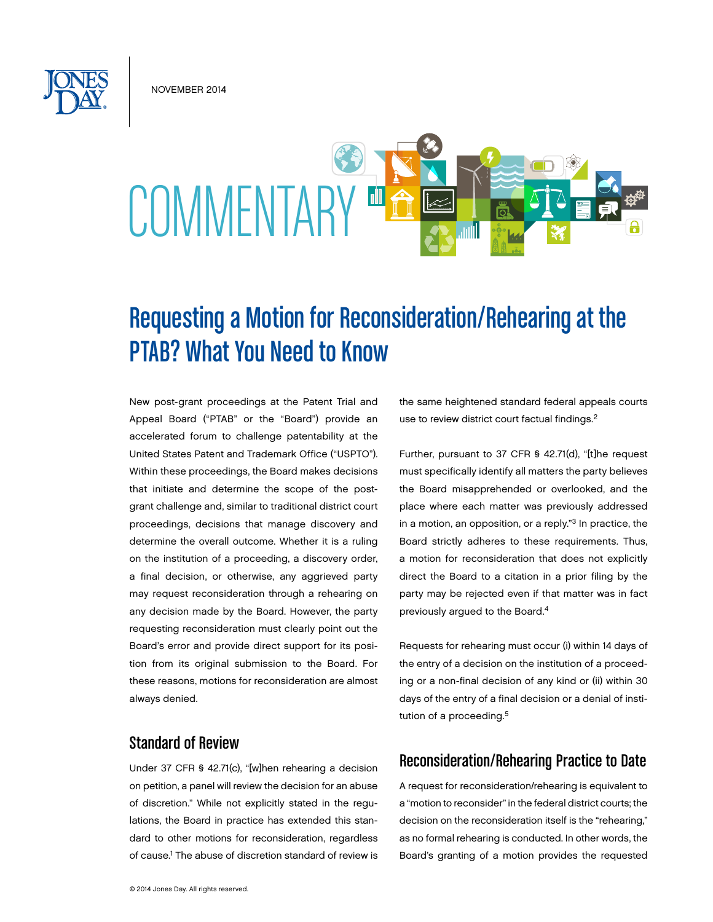NOVEMBER 2014



# Requesting a Motion for Reconsideration/Rehearing at the PTAB? What You Need to Know

New post-grant proceedings at the Patent Trial and Appeal Board ("PTAB" or the "Board") provide an accelerated forum to challenge patentability at the United States Patent and Trademark Office ("USPTO"). Within these proceedings, the Board makes decisions that initiate and determine the scope of the postgrant challenge and, similar to traditional district court proceedings, decisions that manage discovery and determine the overall outcome. Whether it is a ruling on the institution of a proceeding, a discovery order, a final decision, or otherwise, any aggrieved party may request reconsideration through a rehearing on any decision made by the Board. However, the party requesting reconsideration must clearly point out the Board's error and provide direct support for its position from its original submission to the Board. For these reasons, motions for reconsideration are almost always denied.

### Standard of Review

Under 37 CFR § 42.71(c), "[w]hen rehearing a decision on petition, a panel will review the decision for an abuse of discretion." While not explicitly stated in the regulations, the Board in practice has extended this standard to other motions for reconsideration, regardless of cause.<sup>1</sup> The abuse of discretion standard of review is the same heightened standard federal appeals courts use to review district court factual findings.<sup>2</sup>

Further, pursuant to 37 CFR § 42.71(d), "[t]he request must specifically identify all matters the party believes the Board misapprehended or overlooked, and the place where each matter was previously addressed in a motion, an opposition, or a reply."3 In practice, the Board strictly adheres to these requirements. Thus, a motion for reconsideration that does not explicitly direct the Board to a citation in a prior filing by the party may be rejected even if that matter was in fact previously argued to the Board.4

Requests for rehearing must occur (i) within 14 days of the entry of a decision on the institution of a proceeding or a non-final decision of any kind or (ii) within 30 days of the entry of a final decision or a denial of institution of a proceeding.<sup>5</sup>

### Reconsideration/Rehearing Practice to Date

A request for reconsideration/rehearing is equivalent to a "motion to reconsider" in the federal district courts; the decision on the reconsideration itself is the "rehearing," as no formal rehearing is conducted. In other words, the Board's granting of a motion provides the requested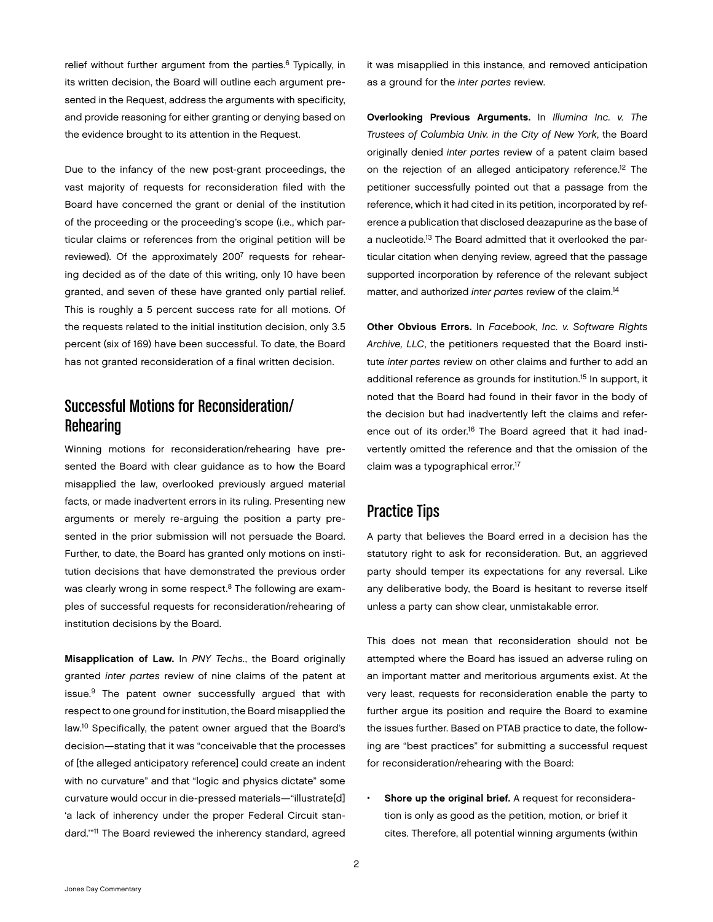relief without further argument from the parties.<sup>6</sup> Typically, in its written decision, the Board will outline each argument presented in the Request, address the arguments with specificity, and provide reasoning for either granting or denying based on the evidence brought to its attention in the Request.

Due to the infancy of the new post-grant proceedings, the vast majority of requests for reconsideration filed with the Board have concerned the grant or denial of the institution of the proceeding or the proceeding's scope (i.e., which particular claims or references from the original petition will be reviewed). Of the approximately 2007 requests for rehearing decided as of the date of this writing, only 10 have been granted, and seven of these have granted only partial relief. This is roughly a 5 percent success rate for all motions. Of the requests related to the initial institution decision, only 3.5 percent (six of 169) have been successful. To date, the Board has not granted reconsideration of a final written decision.

## Successful Motions for Reconsideration/ Rehearing

Winning motions for reconsideration/rehearing have presented the Board with clear guidance as to how the Board misapplied the law, overlooked previously argued material facts, or made inadvertent errors in its ruling. Presenting new arguments or merely re-arguing the position a party presented in the prior submission will not persuade the Board. Further, to date, the Board has granted only motions on institution decisions that have demonstrated the previous order was clearly wrong in some respect.<sup>8</sup> The following are examples of successful requests for reconsideration/rehearing of institution decisions by the Board.

Misapplication of Law. In *PNY Techs.*, the Board originally granted *inter partes* review of nine claims of the patent at issue.<sup>9</sup> The patent owner successfully argued that with respect to one ground for institution, the Board misapplied the law.10 Specifically, the patent owner argued that the Board's decision—stating that it was "conceivable that the processes of [the alleged anticipatory reference] could create an indent with no curvature" and that "logic and physics dictate" some curvature would occur in die-pressed materials—"illustrate[d] 'a lack of inherency under the proper Federal Circuit standard.'"11 The Board reviewed the inherency standard, agreed

it was misapplied in this instance, and removed anticipation as a ground for the *inter partes* review.

Overlooking Previous Arguments. In *Illumina Inc. v. The Trustees of Columbia Univ. in the City of New York*, the Board originally denied *inter partes* review of a patent claim based on the rejection of an alleged anticipatory reference.<sup>12</sup> The petitioner successfully pointed out that a passage from the reference, which it had cited in its petition, incorporated by reference a publication that disclosed deazapurine as the base of a nucleotide.13 The Board admitted that it overlooked the particular citation when denying review, agreed that the passage supported incorporation by reference of the relevant subject matter, and authorized *inter partes* review of the claim.14

Other Obvious Errors. In *Facebook, Inc. v. Software Rights Archive, LLC*, the petitioners requested that the Board institute *inter partes* review on other claims and further to add an additional reference as grounds for institution.15 In support, it noted that the Board had found in their favor in the body of the decision but had inadvertently left the claims and reference out of its order.<sup>16</sup> The Board agreed that it had inadvertently omitted the reference and that the omission of the claim was a typographical error.17

## Practice Tips

A party that believes the Board erred in a decision has the statutory right to ask for reconsideration. But, an aggrieved party should temper its expectations for any reversal. Like any deliberative body, the Board is hesitant to reverse itself unless a party can show clear, unmistakable error.

This does not mean that reconsideration should not be attempted where the Board has issued an adverse ruling on an important matter and meritorious arguments exist. At the very least, requests for reconsideration enable the party to further argue its position and require the Board to examine the issues further. Based on PTAB practice to date, the following are "best practices" for submitting a successful request for reconsideration/rehearing with the Board:

• Shore up the original brief. A request for reconsideration is only as good as the petition, motion, or brief it cites. Therefore, all potential winning arguments (within